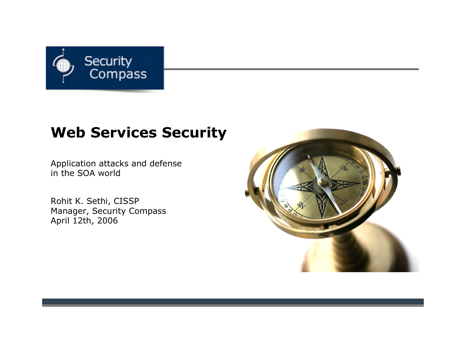

#### **Web Services Security**

Application attacks and defense in the SOA world

Rohit K. Sethi, CISSP Manager, Security Compass April 12th, 2006

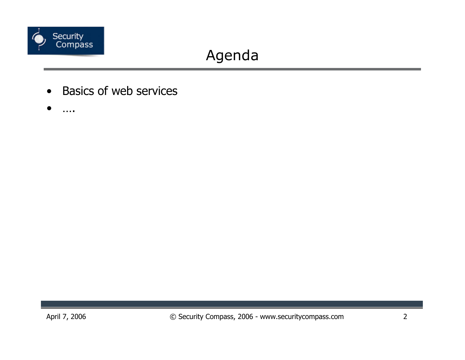

# Agenda

- **Basics of web services**  $\bullet$
- $\bullet$  $\ldots$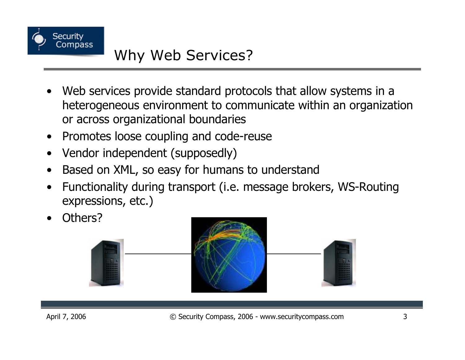

### Why Web Services?

- Web services provide standard protocols that allow systems in a heterogeneous environment to communicate within an organization or across organizational boundaries
- Promotes loose coupling and code-reuse  $\bullet$
- Vendor independent (supposedly)
- Based on XML, so easy for humans to understand
- Functionality during transport (i.e. message brokers, WS-Routing expressions, etc.)
- Others?

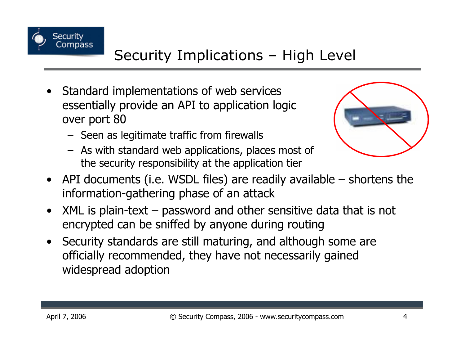

## Security Implications - High Level

- Standard implementations of web services essentially provide an API to application logic over port 80
	- Seen as legitimate traffic from firewalls
	- As with standard web applications, places most of the security responsibility at the application tier



- API documents (i.e. WSDL files) are readily available shortens the information-gathering phase of an attack
- $XML$  is plain-text  $-$  password and other sensitive data that is not  $\bullet$ encrypted can be sniffed by anyone during routing
- Security standards are still maturing, and although some are officially recommended, they have not necessarily gained widespread adoption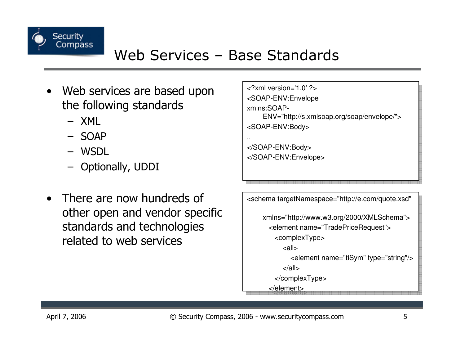

- Web services are based upon  $\bullet$ the following standards
	- $-$  XMI
	- $-$  SOAP
	- WSDL
	- Optionally, UDDI
- There are now hundreds of  $\bullet$ other open and vendor specific standards and technologies related to web services

| $\langle$ ?xml version='1.0' ?>                                       |
|-----------------------------------------------------------------------|
| <soap-env:envelope< td=""></soap-env:envelope<>                       |
| xmlns:SOAP-                                                           |
| ENV="http://s.xmlsoap.org/soap/envelope/">                            |
| <soap-env:body></soap-env:body>                                       |
| . .                                                                   |
|                                                                       |
|                                                                       |
|                                                                       |
|                                                                       |
|                                                                       |
| <schema <="" targetnamespace="http://e.com/quote.xsd" td=""></schema> |

| schema targetivamespace="http://e.com/quote.xsd"                                                                          |
|---------------------------------------------------------------------------------------------------------------------------|
| xmlns="http://www.w3.org/2000/XMLSchema"><br><element name="TradePriceRequest"><br/><complextype></complextype></element> |
| <all></all>                                                                                                               |
| <element name="tiSym" type="string"></element><br>$\langle$ all $\rangle$                                                 |
|                                                                                                                           |

</element>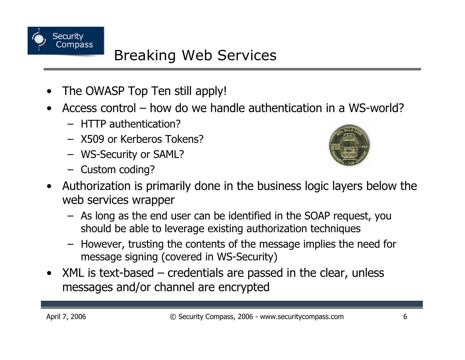

### **Breaking Web Services**

- The OWASP Top Ten still apply!
- Access control how do we handle authentication in a WS-world?
	- $-$  HTTP authentication?
	- X509 or Kerberos Tokens?
	- WS-Security or SAML?
	- Custom coding?



- Authorization is primarily done in the business logic layers below the  $\bullet$ web services wrapper
	- As long as the end user can be identified in the SOAP request, you should be able to leverage existing authorization techniques
	- However, trusting the contents of the message implies the need for message signing (covered in WS-Security)
- $XML$  is text-based  $-$  credentials are passed in the clear, unless  $\bullet$ messages and/or channel are encrypted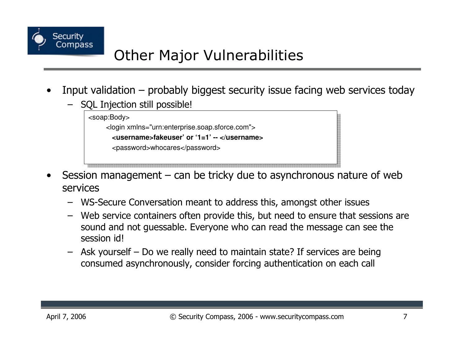

### **Other Major Vulnerabilities**

- Input validation  $-$  probably biggest security issue facing web services today
	- SQL Injection still possible!



- Session management can be tricky due to asynchronous nature of web services
	- WS-Secure Conversation meant to address this, amongst other issues
	- Web service containers often provide this, but need to ensure that sessions are sound and not quessable. Everyone who can read the message can see the session id!
	- Ask yourself Do we really need to maintain state? If services are being consumed asynchronously, consider forcing authentication on each call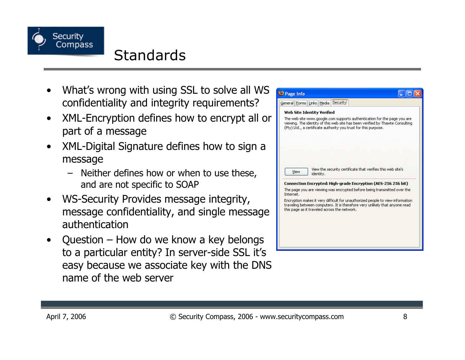

#### **Standards**

- What's wrong with using SSL to solve all WS confidentiality and integrity requirements?
- XML-Encryption defines how to encrypt all or  $\bullet$ part of a message
- XML-Digital Signature defines how to sign a  $\bullet$ message
	- Neither defines how or when to use these, and are not specific to SOAP
- WS-Security Provides message integrity,  $\bullet$ message confidentiality, and single message authentication
- Question  $-$  How do we know a key belongs  $\bullet$ to a particular entity? In server-side SSL it's easy because we associate key with the DNS name of the web server

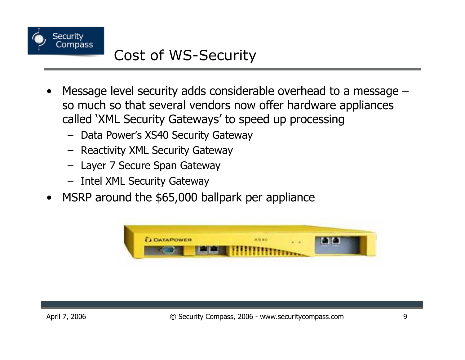

#### Cost of WS-Security

- Message level security adds considerable overhead to a message so much so that several vendors now offer hardware appliances called 'XML Security Gateways' to speed up processing
	- Data Power's XS40 Security Gateway
	- Reactivity XML Security Gateway
	- Layer 7 Secure Span Gateway
	- Intel XML Security Gateway
- MSRP around the \$65,000 ballpark per appliance